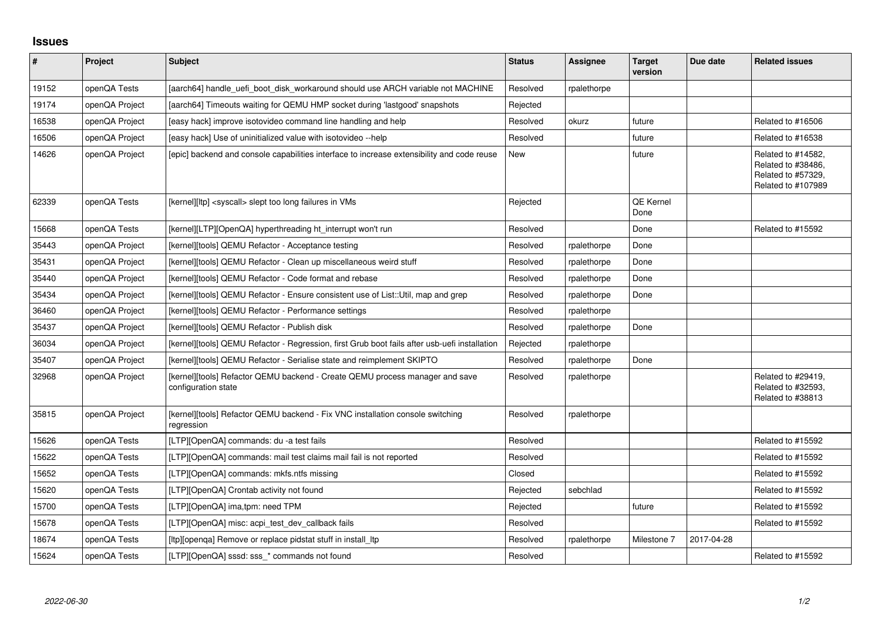## **Issues**

| #     | Project        | <b>Subject</b>                                                                                      | <b>Status</b> | Assignee    | <b>Target</b><br>version | Due date   | <b>Related issues</b>                                                                |
|-------|----------------|-----------------------------------------------------------------------------------------------------|---------------|-------------|--------------------------|------------|--------------------------------------------------------------------------------------|
| 19152 | openQA Tests   | [aarch64] handle uefi boot disk workaround should use ARCH variable not MACHINE                     | Resolved      | rpalethorpe |                          |            |                                                                                      |
| 19174 | openQA Project | [aarch64] Timeouts waiting for QEMU HMP socket during 'lastgood' snapshots                          | Rejected      |             |                          |            |                                                                                      |
| 16538 | openQA Project | [easy hack] improve isotovideo command line handling and help                                       | Resolved      | okurz       | future                   |            | Related to #16506                                                                    |
| 16506 | openQA Project | [easy hack] Use of uninitialized value with isotovideo --help                                       | Resolved      |             | future                   |            | Related to #16538                                                                    |
| 14626 | openQA Project | [epic] backend and console capabilities interface to increase extensibility and code reuse          | New           |             | future                   |            | Related to #14582,<br>Related to #38486,<br>Related to #57329,<br>Related to #107989 |
| 62339 | openQA Tests   | [kernel][ltp] <syscall> slept too long failures in VMs</syscall>                                    | Rejected      |             | <b>QE Kernel</b><br>Done |            |                                                                                      |
| 15668 | openQA Tests   | [kernel][LTP][OpenQA] hyperthreading ht interrupt won't run                                         | Resolved      |             | Done                     |            | Related to #15592                                                                    |
| 35443 | openQA Project | [kernel][tools] QEMU Refactor - Acceptance testing                                                  | Resolved      | rpalethorpe | Done                     |            |                                                                                      |
| 35431 | openQA Project | [kernel][tools] QEMU Refactor - Clean up miscellaneous weird stuff                                  | Resolved      | rpalethorpe | Done                     |            |                                                                                      |
| 35440 | openQA Project | [kernel][tools] QEMU Refactor - Code format and rebase                                              | Resolved      | rpalethorpe | Done                     |            |                                                                                      |
| 35434 | openQA Project | [kernel][tools] QEMU Refactor - Ensure consistent use of List::Util, map and grep                   | Resolved      | rpalethorpe | Done                     |            |                                                                                      |
| 36460 | openQA Project | [kernel][tools] QEMU Refactor - Performance settings                                                | Resolved      | rpalethorpe |                          |            |                                                                                      |
| 35437 | openQA Project | [kernel][tools] QEMU Refactor - Publish disk                                                        | Resolved      | rpalethorpe | Done                     |            |                                                                                      |
| 36034 | openQA Project | [kernel][tools] QEMU Refactor - Regression, first Grub boot fails after usb-uefi installation       | Rejected      | rpalethorpe |                          |            |                                                                                      |
| 35407 | openQA Project | [kernel][tools] QEMU Refactor - Serialise state and reimplement SKIPTO                              | Resolved      | rpalethorpe | Done                     |            |                                                                                      |
| 32968 | openQA Project | [kernel][tools] Refactor QEMU backend - Create QEMU process manager and save<br>configuration state | Resolved      | rpalethorpe |                          |            | Related to #29419,<br>Related to #32593,<br>Related to #38813                        |
| 35815 | openQA Project | [kernel][tools] Refactor QEMU backend - Fix VNC installation console switching<br>regression        | Resolved      | rpalethorpe |                          |            |                                                                                      |
| 15626 | openQA Tests   | [LTP][OpenQA] commands: du -a test fails                                                            | Resolved      |             |                          |            | Related to #15592                                                                    |
| 15622 | openQA Tests   | [LTP][OpenQA] commands: mail test claims mail fail is not reported                                  | Resolved      |             |                          |            | Related to #15592                                                                    |
| 15652 | openQA Tests   | [LTP][OpenQA] commands: mkfs.ntfs missing                                                           | Closed        |             |                          |            | Related to #15592                                                                    |
| 15620 | openQA Tests   | [LTP][OpenQA] Crontab activity not found                                                            | Rejected      | sebchlad    |                          |            | Related to #15592                                                                    |
| 15700 | openQA Tests   | [LTP][OpenQA] ima,tpm: need TPM                                                                     | Rejected      |             | future                   |            | Related to #15592                                                                    |
| 15678 | openQA Tests   | [LTP][OpenQA] misc: acpi_test_dev_callback fails                                                    | Resolved      |             |                          |            | Related to #15592                                                                    |
| 18674 | openQA Tests   | [ltp][openqa] Remove or replace pidstat stuff in install_ltp                                        | Resolved      | rpalethorpe | Milestone 7              | 2017-04-28 |                                                                                      |
| 15624 | openQA Tests   | [LTP][OpenQA] sssd: sss_* commands not found                                                        | Resolved      |             |                          |            | Related to #15592                                                                    |